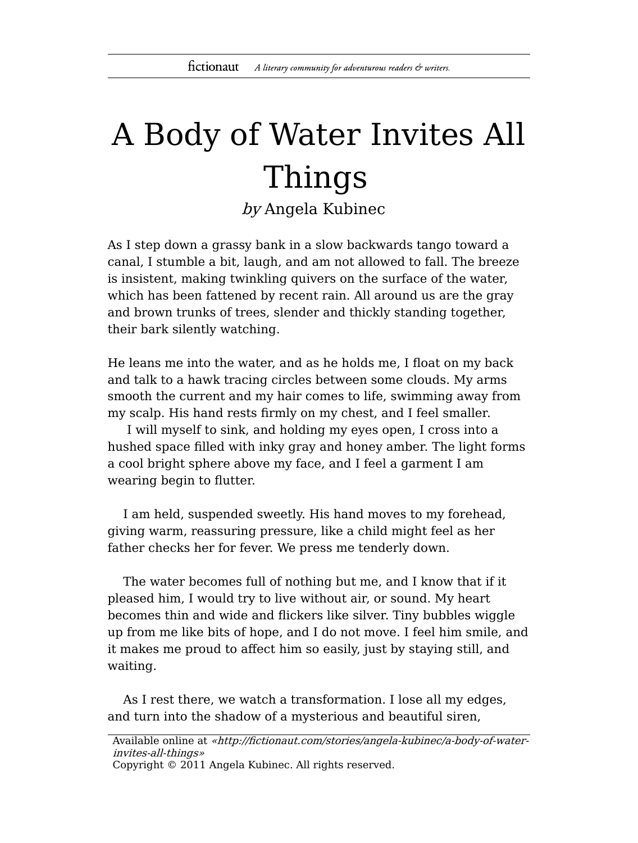## A Body of Water Invites All Things

by Angela Kubinec

As I step down a grassy bank in a slow backwards tango toward a canal, I stumble a bit, laugh, and am not allowed to fall. The breeze is insistent, making twinkling quivers on the surface of the water, which has been fattened by recent rain. All around us are the gray and brown trunks of trees, slender and thickly standing together, their bark silently watching.

He leans me into the water, and as he holds me, I float on my back and talk to a hawk tracing circles between some clouds. My arms smooth the current and my hair comes to life, swimming away from my scalp. His hand rests firmly on my chest, and I feel smaller.

I will myself to sink, and holding my eyes open, I cross into a hushed space filled with inky gray and honey amber. The light forms a cool bright sphere above my face, and I feel a garment I am wearing begin to flutter.

I am held, suspended sweetly. His hand moves to my forehead, giving warm, reassuring pressure, like a child might feel as her father checks her for fever. We press me tenderly down.

The water becomes full of nothing but me, and I know that if it pleased him, I would try to live without air, or sound. My heart becomes thin and wide and flickers like silver. Tiny bubbles wiggle up from me like bits of hope, and I do not move. I feel him smile, and it makes me proud to affect him so easily, just by staying still, and waiting.

As I rest there, we watch a transformation. I lose all my edges, and turn into the shadow of a mysterious and beautiful siren,